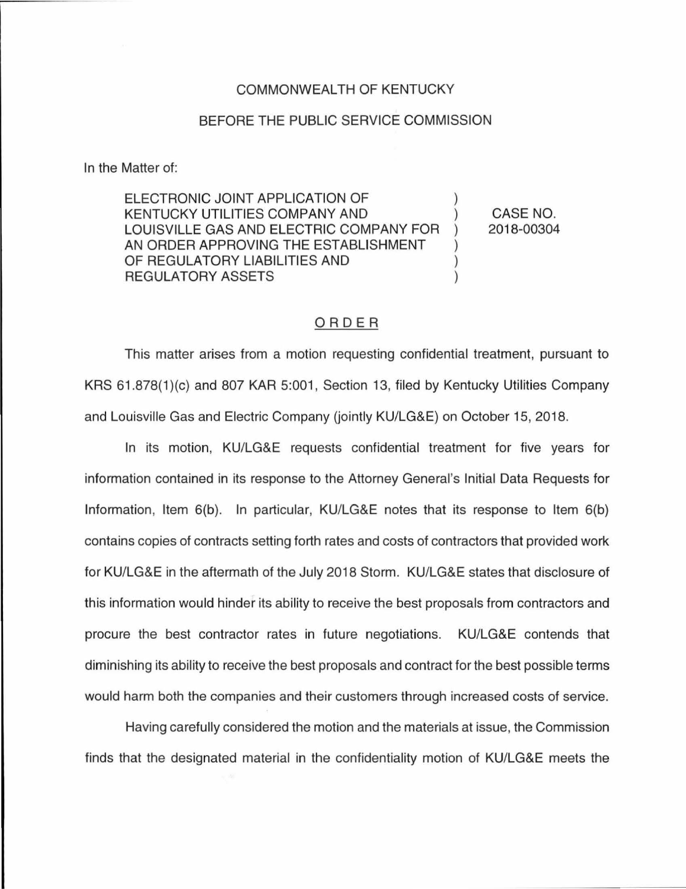## COMMONWEAL TH OF KENTUCKY

## BEFORE THE PUBLIC SERVICE COMMISSION

In the Matter of:

ELECTRONIC JOINT APPLICATION OF KENTUCKY UTILITIES COMPANY AND ) LOUISVILLE GAS AND ELECTRIC COMPANY FOR ) AN ORDER APPROVING THE ESTABLISHMENT OF REGULATORY LIABILITIES AND ) REGULATORY ASSETS (1999)

CASE NO. 2018-00304

## ORDER

This matter arises from a motion requesting confidential treatment, pursuant to KRS 61.878(1)(c) and 807 KAR 5:001, Section 13, filed by Kentucky Utilities Company and Louisville Gas and Electric Company (jointly KU/LG&E) on October 15, 2018.

In its motion, KU/LG&E requests confidential treatment for five years for information contained in its response to the Attorney General's Initial Data Requests for Information, Item 6(b). In particular, KU/LG&E notes that its response to Item 6(b) contains copies of contracts setting forth rates and costs of contractors that provided work for KU/LG&E in the aftermath of the July 2018 Storm. KU/LG&E states that disclosure of this information would hinder its ability to receive the best proposals from contractors and procure the best contractor rates in future negotiations. KU/LG&E contends that diminishing its ability to receive the best proposals and contract for the best possible terms would harm both the companies and their customers through increased costs of service.

Having carefully considered the motion and the materials at issue, the Commission finds that the designated material in the confidentiality motion of KU/LG&E meets the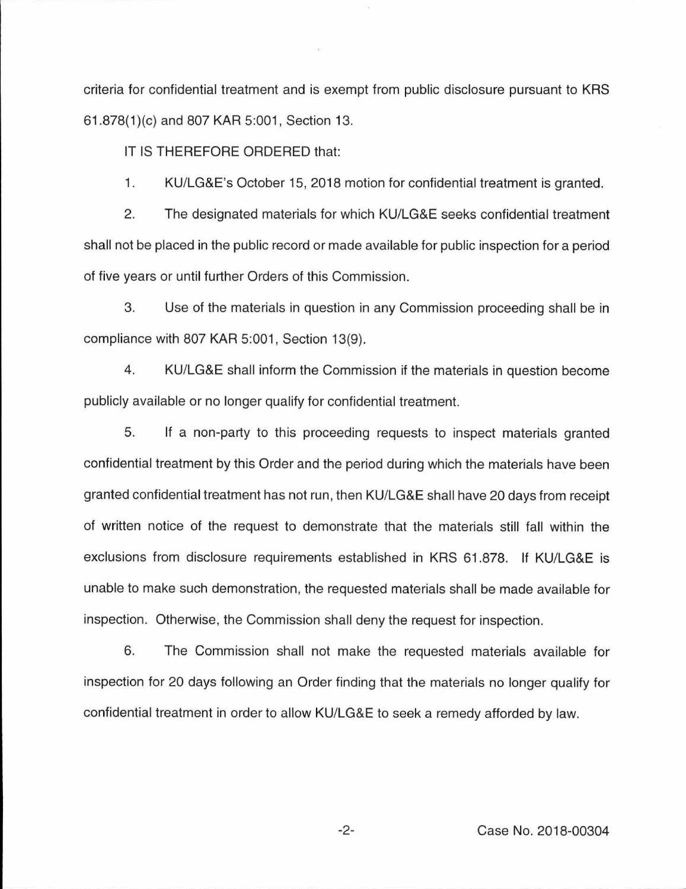criteria for confidential treatment and is exempt from public disclosure pursuant to KRS 61.878(1 )(c) and 807 KAR 5:001 , Section 13.

IT IS THEREFORE ORDERED that:

1. KU/LG&E's October 15, 2018 motion for confidential treatment is granted.

2. The designated materials for which KU/LG&E seeks confidential treatment shall not be placed in the public record or made available for public inspection for a period of five years or until further Orders of this Commission.

3. Use of the materials in question in any Commission proceeding shall be in compliance with 807 KAR 5:001, Section 13(9).

4. KU/LG&E shall inform the Commission if the materials in question become publicly available or no longer qualify for confidential treatment.

5. If a non-party to this proceeding requests to inspect materials granted confidential treatment by this Order and the period during which the materials have been granted confidential treatment has not run, then KU/LG&E shall have 20 days from receipt of written notice of the request to demonstrate that the materials still fall within the exclusions from disclosure requirements established in KRS 61 .878. If KU/LG&E is unable to make such demonstration, the requested materials shall be made available for inspection. Otherwise, the Commission shall deny the request for inspection.

6. The Commission shall not make the requested materials available for inspection for 20 days following an Order finding that the materials no longer qualify for confidential treatment in order to allow KU/LG&E to seek a remedy afforded by law.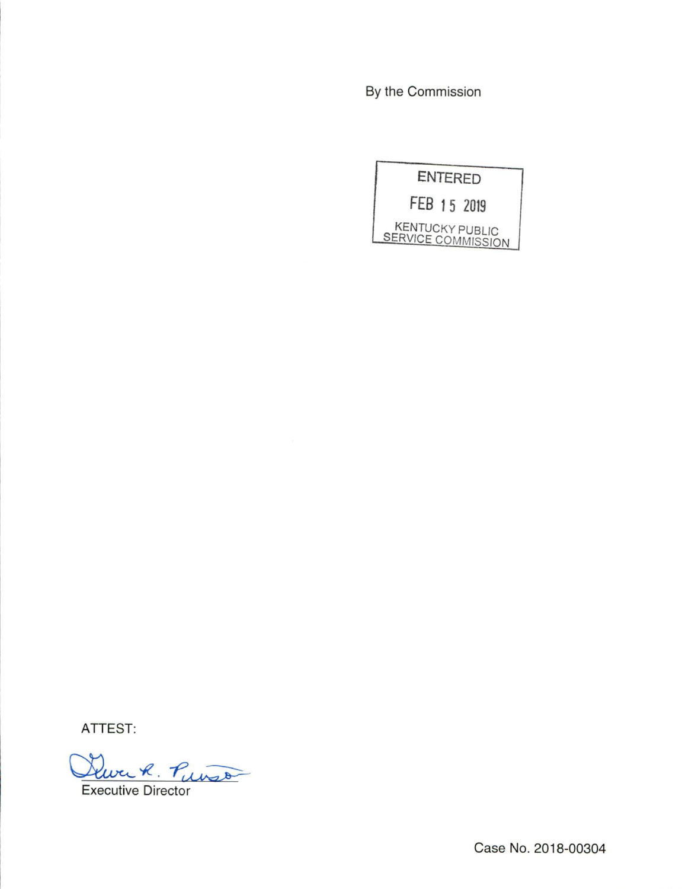By the Commission



ATTEST:

Durch. Puis

**Executive Director** 

Case No. 2018-00304